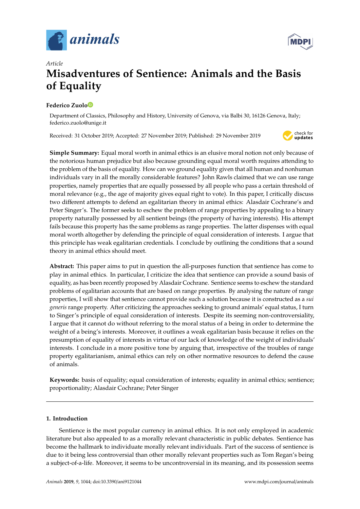



# *Article* **Misadventures of Sentience: Animals and the Basis of Equality**

# **Federico Zuol[o](https://orcid.org/0000-0001-7539-3070)**

Department of Classics, Philosophy and History, University of Genova, via Balbi 30, 16126 Genova, Italy; federico.zuolo@unige.it

Received: 31 October 2019; Accepted: 27 November 2019; Published: 29 November 2019



**Simple Summary:** Equal moral worth in animal ethics is an elusive moral notion not only because of the notorious human prejudice but also because grounding equal moral worth requires attending to the problem of the basis of equality. How can we ground equality given that all human and nonhuman individuals vary in all the morally considerable features? John Rawls claimed that we can use range properties, namely properties that are equally possessed by all people who pass a certain threshold of moral relevance (e.g., the age of majority gives equal right to vote). In this paper, I critically discuss two different attempts to defend an egalitarian theory in animal ethics: Alasdair Cochrane's and Peter Singer's. The former seeks to eschew the problem of range properties by appealing to a binary property naturally possessed by all sentient beings (the property of having interests). His attempt fails because this property has the same problems as range properties. The latter dispenses with equal moral worth altogether by defending the principle of equal consideration of interests. I argue that this principle has weak egalitarian credentials. I conclude by outlining the conditions that a sound theory in animal ethics should meet.

**Abstract:** This paper aims to put in question the all-purposes function that sentience has come to play in animal ethics. In particular, I criticize the idea that sentience can provide a sound basis of equality, as has been recently proposed by Alasdair Cochrane. Sentience seems to eschew the standard problems of egalitarian accounts that are based on range properties. By analysing the nature of range properties, I will show that sentience cannot provide such a solution because it is constructed as a *sui generis* range property. After criticizing the approaches seeking to ground animals' equal status, I turn to Singer's principle of equal consideration of interests. Despite its seeming non-controversiality, I argue that it cannot do without referring to the moral status of a being in order to determine the weight of a being's interests. Moreover, it outlines a weak egalitarian basis because it relies on the presumption of equality of interests in virtue of our lack of knowledge of the weight of individuals' interests. I conclude in a more positive tone by arguing that, irrespective of the troubles of range property egalitarianism, animal ethics can rely on other normative resources to defend the cause of animals.

**Keywords:** basis of equality; equal consideration of interests; equality in animal ethics; sentience; proportionality; Alasdair Cochrane; Peter Singer

# **1. Introduction**

Sentience is the most popular currency in animal ethics. It is not only employed in academic literature but also appealed to as a morally relevant characteristic in public debates. Sentience has become the hallmark to individuate morally relevant individuals. Part of the success of sentience is due to it being less controversial than other morally relevant properties such as Tom Regan's being a subject-of-a-life. Moreover, it seems to be uncontroversial in its meaning, and its possession seems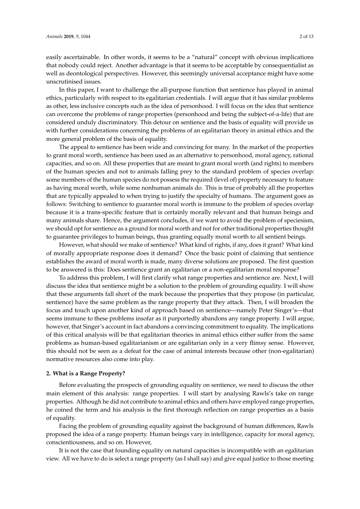easily ascertainable. In other words, it seems to be a "natural" concept with obvious implications that nobody could reject. Another advantage is that it seems to be acceptable by consequentialist as well as deontological perspectives. However, this seemingly universal acceptance might have some unscrutinised issues.

In this paper, I want to challenge the all-purpose function that sentience has played in animal ethics, particularly with respect to its egalitarian credentials. I will argue that it has similar problems as other, less inclusive concepts such as the idea of personhood. I will focus on the idea that sentience can overcome the problems of range properties (personhood and being the subject-of-a-life) that are considered unduly discriminatory. This detour on sentience and the basis of equality will provide us with further considerations concerning the problems of an egalitarian theory in animal ethics and the more general problem of the basis of equality.

The appeal to sentience has been wide and convincing for many. In the market of the properties to grant moral worth, sentience has been used as an alternative to personhood, moral agency, rational capacities, and so on. All these properties that are meant to grant moral worth (and rights) to members of the human species and not to animals falling prey to the standard problem of species overlap: some members of the human species do not possess the required (level of) property necessary to feature as having moral worth, while some nonhuman animals do. This is true of probably all the properties that are typically appealed to when trying to justify the specialty of humans. The argument goes as follows: Switching to sentience to guarantee moral worth is immune to the problem of species overlap because it is a trans-specific feature that is certainly morally relevant and that human beings and many animals share. Hence, the argument concludes, if we want to avoid the problem of speciesism, we should opt for sentience as a ground for moral worth and not for other traditional properties thought to guarantee privileges to human beings, thus granting equally moral worth to all sentient beings.

However, what should we make of sentience? What kind of rights, if any, does it grant? What kind of morally appropriate response does it demand? Once the basic point of claiming that sentience establishes the award of moral worth is made, many diverse solutions are proposed. The first question to be answered is this: Does sentience grant an egalitarian or a non-egalitarian moral response?

To address this problem, I will first clarify what range properties and sentience are. Next, I will discuss the idea that sentience might be a solution to the problem of grounding equality. I will show that these arguments fall short of the mark because the properties that they propose (in particular, sentience) have the same problem as the range property that they attack. Then, I will broaden the focus and touch upon another kind of approach based on sentience—namely Peter Singer's—that seems immune to these problems insofar as it purportedly abandons any range property. I will argue, however, that Singer's account in fact abandons a convincing commitment to equality. The implications of this critical analysis will be that egalitarian theories in animal ethics either suffer from the same problems as human-based egalitarianism or are egalitarian only in a very flimsy sense. However, this should not be seen as a defeat for the case of animal interests because other (non-egalitarian) normative resources also come into play.

#### **2. What is a Range Property?**

Before evaluating the prospects of grounding equality on sentience, we need to discuss the other main element of this analysis: range properties. I will start by analysing Rawls's take on range properties. Although he did not contribute to animal ethics and others have employed range properties, he coined the term and his analysis is the first thorough reflection on range properties as a basis of equality.

Facing the problem of grounding equality against the background of human differences, Rawls proposed the idea of a range property. Human beings vary in intelligence, capacity for moral agency, conscientiousness, and so on. However,

It is not the case that founding equality on natural capacities is incompatible with an egalitarian view. All we have to do is select a range property (as I shall say) and give equal justice to those meeting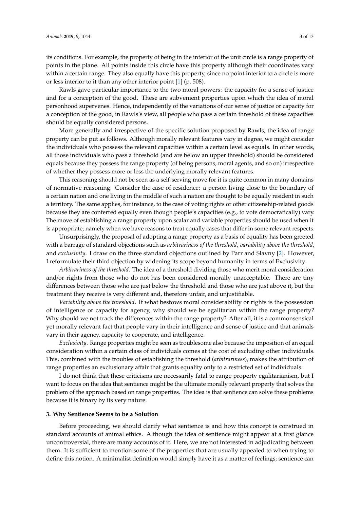its conditions. For example, the property of being in the interior of the unit circle is a range property of points in the plane. All points inside this circle have this property although their coordinates vary within a certain range. They also equally have this property, since no point interior to a circle is more or less interior to it than any other interior point [\[1\]](#page-11-0) (p. 508).

Rawls gave particular importance to the two moral powers: the capacity for a sense of justice and for a conception of the good. These are subvenient properties upon which the idea of moral personhood supervenes. Hence, independently of the variations of our sense of justice or capacity for a conception of the good, in Rawls's view, all people who pass a certain threshold of these capacities should be equally considered persons.

More generally and irrespective of the specific solution proposed by Rawls, the idea of range property can be put as follows. Although morally relevant features vary in degree, we might consider the individuals who possess the relevant capacities within a certain level as equals. In other words, all those individuals who pass a threshold (and are below an upper threshold) should be considered equals because they possess the range property (of being persons, moral agents, and so on) irrespective of whether they possess more or less the underlying morally relevant features.

This reasoning should not be seen as a self-serving move for it is quite common in many domains of normative reasoning. Consider the case of residence: a person living close to the boundary of a certain nation and one living in the middle of such a nation are thought to be equally resident in such a territory. The same applies, for instance, to the case of voting rights or other citizenship-related goods because they are conferred equally even though people's capacities (e.g., to vote democratically) vary. The move of establishing a range property upon scalar and variable properties should be used when it is appropriate, namely when we have reasons to treat equally cases that differ in some relevant respects.

Unsurprisingly, the proposal of adopting a range property as a basis of equality has been greeted with a barrage of standard objections such as *arbitrariness of the threshold*, *variability above the threshold*, and *exclusivity*. I draw on the three standard objections outlined by Parr and Slavny [\[2\]](#page-11-1). However, I reformulate their third objection by widening its scope beyond humanity in terms of Exclusivity.

*Arbitrariness of the threshold*. The idea of a threshold dividing those who merit moral consideration and/or rights from those who do not has been considered morally unacceptable. There are tiny differences between those who are just below the threshold and those who are just above it, but the treatment they receive is very different and, therefore unfair, and unjustifiable.

*Variability above the threshold*. If what bestows moral considerability or rights is the possession of intelligence or capacity for agency, why should we be egalitarian within the range property? Why should we not track the differences within the range property? After all, it is a commonsensical yet morally relevant fact that people vary in their intelligence and sense of justice and that animals vary in their agency, capacity to cooperate, and intelligence.

*Exclusivity*. Range properties might be seen as troublesome also because the imposition of an equal consideration within a certain class of individuals comes at the cost of excluding other individuals. This, combined with the troubles of establishing the threshold (*arbitrariness*), makes the attribution of range properties an exclusionary affair that grants equality only to a restricted set of individuals.

I do not think that these criticisms are necessarily fatal to range property egalitarianism, but I want to focus on the idea that sentience might be the ultimate morally relevant property that solves the problem of the approach based on range properties. The idea is that sentience can solve these problems because it is binary by its very nature.

## **3. Why Sentience Seems to be a Solution**

Before proceeding, we should clarify what sentience is and how this concept is construed in standard accounts of animal ethics. Although the idea of sentience might appear at a first glance uncontroversial, there are many accounts of it. Here, we are not interested in adjudicating between them. It is sufficient to mention some of the properties that are usually appealed to when trying to define this notion. A minimalist definition would simply have it as a matter of feelings; sentience can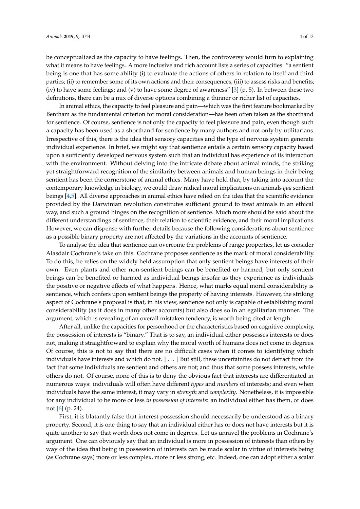be conceptualized as the capacity to have feelings. Then, the controversy would turn to explaining what it means to have feelings. A more inclusive and rich account lists a series of capacities: "a sentient being is one that has some ability (i) to evaluate the actions of others in relation to itself and third parties; (ii) to remember some of its own actions and their consequences; (iii) to assess risks and benefits; (iv) to have some feelings; and (v) to have some degree of awareness" [\[3\]](#page-11-2) (p. 5). In between these two definitions, there can be a mix of diverse options combining a thinner or richer list of capacities.

In animal ethics, the capacity to feel pleasure and pain—which was the first feature bookmarked by Bentham as the fundamental criterion for moral consideration—has been often taken as the shorthand for sentience. Of course, sentience is not only the capacity to feel pleasure and pain, even though such a capacity has been used as a shorthand for sentience by many authors and not only by utilitarians. Irrespective of this, there is the idea that sensory capacities and the type of nervous system generate individual experience. In brief, we might say that sentience entails a certain sensory capacity based upon a sufficiently developed nervous system such that an individual has experience of its interaction with the environment. Without delving into the intricate debate about animal minds, the striking yet straightforward recognition of the similarity between animals and human beings in their being sentient has been the cornerstone of animal ethics. Many have held that, by taking into account the contemporary knowledge in biology, we could draw radical moral implications on animals *qua* sentient beings [\[4](#page-11-3)[,5\]](#page-11-4). All diverse approaches in animal ethics have relied on the idea that the scientific evidence provided by the Darwinian revolution constitutes sufficient ground to treat animals in an ethical way, and such a ground hinges on the recognition of sentience. Much more should be said about the different understandings of sentience, their relation to scientific evidence, and their moral implications. However, we can dispense with further details because the following considerations about sentience as a possible binary property are not affected by the variations in the accounts of sentience.

To analyse the idea that sentience can overcome the problems of range properties, let us consider Alasdair Cochrane's take on this. Cochrane proposes sentience as the mark of moral considerability. To do this, he relies on the widely held assumption that only sentient beings have interests of their own. Even plants and other non-sentient beings can be benefited or harmed, but only sentient beings can be benefited or harmed as individual beings insofar as they experience as individuals the positive or negative effects of what happens. Hence, what marks equal moral considerability is sentience, which confers upon sentient beings the property of having interests. However, the striking aspect of Cochrane's proposal is that, in his view, sentience not only is capable of establishing moral considerability (as it does in many other accounts) but also does so in an egalitarian manner. The argument, which is revealing of an overall mistaken tendency, is worth being cited at length:

After all, unlike the capacities for personhood or the characteristics based on cognitive complexity, the possession of interests is "binary." That is to say, an individual either possesses interests or does not, making it straightforward to explain why the moral worth of humans does not come in degrees. Of course, this is not to say that there are no difficult cases when it comes to identifying which individuals have interests and which do not. [ . . . ] But still, these uncertainties do not detract from the fact that some individuals are sentient and others are not; and thus that some possess interests, while others do not. Of course, none of this is to deny the obvious fact that interests are differentiated in numerous ways: individuals will often have different *types* and *numbers* of interests; and even when individuals have the same interest, it may vary in *strength* and *complexity*. Nonetheless, it is impossible for any individual to be more or less *in possession of interests*: an individual either has them, or does not [\[6\]](#page-11-5) (p. 24).

First, it is blatantly false that interest possession should necessarily be understood as a binary property. Second, it is one thing to say that an individual either has or does not have interests but it is quite another to say that worth does not come in degrees. Let us unravel the problems in Cochrane's argument. One can obviously say that an individual is more in possession of interests than others by way of the idea that being in possession of interests can be made scalar in virtue of interests being (as Cochrane says) more or less complex, more or less strong, etc. Indeed, one can adopt either a scalar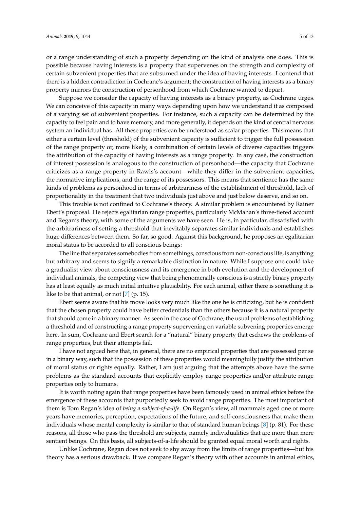or a range understanding of such a property depending on the kind of analysis one does. This is possible because having interests is a property that supervenes on the strength and complexity of certain subvenient properties that are subsumed under the idea of having interests. I contend that there is a hidden contradiction in Cochrane's argument; the construction of having interests as a binary property mirrors the construction of personhood from which Cochrane wanted to depart.

Suppose we consider the capacity of having interests as a binary property, as Cochrane urges. We can conceive of this capacity in many ways depending upon how we understand it as composed of a varying set of subvenient properties. For instance, such a capacity can be determined by the capacity to feel pain and to have memory, and more generally, it depends on the kind of central nervous system an individual has. All these properties can be understood as scalar properties. This means that either a certain level (threshold) of the subvenient capacity is sufficient to trigger the full possession of the range property or, more likely, a combination of certain levels of diverse capacities triggers the attribution of the capacity of having interests as a range property. In any case, the construction of interest possession is analogous to the construction of personhood—the capacity that Cochrane criticizes as a range property in Rawls's account—while they differ in the subvenient capacities, the normative implications, and the range of its possessors. This means that sentience has the same kinds of problems as personhood in terms of arbitrariness of the establishment of threshold, lack of proportionality in the treatment that two individuals just above and just below deserve, and so on.

This trouble is not confined to Cochrane's theory. A similar problem is encountered by Rainer Ebert's proposal. He rejects egalitarian range properties, particularly McMahan's three-tiered account and Regan's theory, with some of the arguments we have seen. He is, in particular, dissatisfied with the arbitrariness of setting a threshold that inevitably separates similar individuals and establishes huge differences between them. So far, so good. Against this background, he proposes an egalitarian moral status to be accorded to all conscious beings:

The line that separates somebodies from somethings, conscious from non-conscious life, is anything but arbitrary and seems to signify a remarkable distinction in nature. While I suppose one could take a gradualist view about consciousness and its emergence in both evolution and the development of individual animals, the competing view that being phenomenally conscious is a strictly binary property has at least equally as much initial intuitive plausibility. For each animal, either there is something it is like to be that animal, or not [\[7\]](#page-11-6) (p. 15).

Ebert seems aware that his move looks very much like the one he is criticizing, but he is confident that the chosen property could have better credentials than the others because it is a natural property that should come in a binary manner. As seen in the case of Cochrane, the usual problems of establishing a threshold and of constructing a range property supervening on variable subvening properties emerge here. In sum, Cochrane and Ebert search for a "natural" binary property that eschews the problems of range properties, but their attempts fail.

I have not argued here that, in general, there are no empirical properties that are possessed per se in a binary way, such that the possession of these properties would meaningfully justify the attribution of moral status or rights equally. Rather, I am just arguing that the attempts above have the same problems as the standard accounts that explicitly employ range properties and/or attribute range properties only to humans.

It is worth noting again that range properties have been famously used in animal ethics before the emergence of these accounts that purportedly seek to avoid range properties. The most important of them is Tom Regan's idea of *being a subject-of-a-life*. On Regan's view, all mammals aged one or more years have memories, perception, expectations of the future, and self-consciousness that make them individuals whose mental complexity is similar to that of standard human beings  $[8]$  (p. 81). For these reasons, all those who pass the threshold are subjects, namely individualities that are more than mere sentient beings. On this basis, all subjects-of-a-life should be granted equal moral worth and rights.

Unlike Cochrane, Regan does not seek to shy away from the limits of range properties—but his theory has a serious drawback. If we compare Regan's theory with other accounts in animal ethics,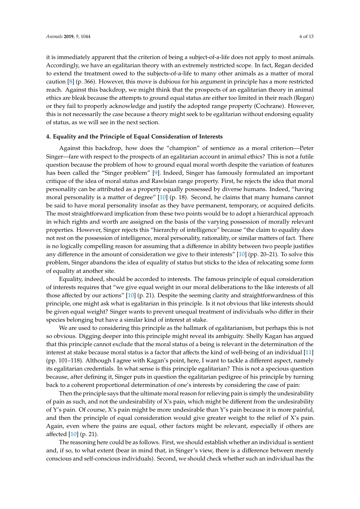it is immediately apparent that the criterion of being a subject-of-a-life does not apply to most animals. Accordingly, we have an egalitarian theory with an extremely restricted scope. In fact, Regan decided to extend the treatment owed to the subjects-of-a-life to many other animals as a matter of moral caution [\[8\]](#page-11-7) (p. 366). However, this move is dubious for his argument in principle has a more restricted reach. Against this backdrop, we might think that the prospects of an egalitarian theory in animal ethics are bleak because the attempts to ground equal status are either too limited in their reach (Regan) or they fail to properly acknowledge and justify the adopted range property (Cochrane). However, this is not necessarily the case because a theory might seek to be egalitarian without endorsing equality of status, as we will see in the next section.

#### **4. Equality and the Principle of Equal Consideration of Interests**

Against this backdrop, how does the "champion" of sentience as a moral criterion—Peter Singer—fare with respect to the prospects of an egalitarian account in animal ethics? This is not a futile question because the problem of how to ground equal moral worth despite the variation of features has been called the "Singer problem" [\[9\]](#page-11-8). Indeed, Singer has famously formulated an important critique of the idea of moral status and Rawlsian range property. First, he rejects the idea that moral personality can be attributed as a property equally possessed by diverse humans. Indeed, "having moral personality is a matter of degree" [\[10\]](#page-11-9) (p. 18). Second, he claims that many humans cannot be said to have moral personality insofar as they have permanent, temporary, or acquired deficits. The most straightforward implication from these two points would be to adopt a hierarchical approach in which rights and worth are assigned on the basis of the varying possession of morally relevant properties. However, Singer rejects this "hierarchy of intelligence" because "the claim to equality does not rest on the possession of intelligence, moral personality, rationality, or similar matters of fact. There is no logically compelling reason for assuming that a difference in ability between two people justifies any difference in the amount of consideration we give to their interests" [\[10\]](#page-11-9) (pp. 20–21). To solve this problem, Singer abandons the idea of equality of status but sticks to the idea of relocating some form of equality at another site.

Equality, indeed, should be accorded to interests. The famous principle of equal consideration of interests requires that "we give equal weight in our moral deliberations to the like interests of all those affected by our actions" [\[10\]](#page-11-9) (p. 21). Despite the seeming clarity and straightforwardness of this principle, one might ask what is egalitarian in this principle. Is it not obvious that like interests should be given equal weight? Singer wants to prevent unequal treatment of individuals who differ in their species belonging but have a similar kind of interest at stake.

We are used to considering this principle as the hallmark of egalitarianism, but perhaps this is not so obvious. Digging deeper into this principle might reveal its ambiguity. Shelly Kagan has argued that this principle cannot exclude that the moral status of a being is relevant in the determination of the interest at stake because moral status is a factor that affects the kind of well-being of an individual [\[11\]](#page-11-10) (pp. 101–118). Although I agree with Kagan's point, here, I want to tackle a different aspect, namely its egalitarian credentials. In what sense is this principle egalitarian? This is not a specious question because, after defining it, Singer puts in question the egalitarian pedigree of his principle by turning back to a coherent proportional determination of one's interests by considering the case of pain:

Then the principle says that the ultimate moral reason for relieving pain is simply the undesirability of pain as such, and not the undesirability of X's pain, which might be different from the undesirability of Y's pain. Of course, X's pain might be more undesirable than Y's pain because it is more painful, and then the principle of equal consideration would give greater weight to the relief of X's pain. Again, even where the pains are equal, other factors might be relevant, especially if others are affected [\[10\]](#page-11-9) (p. 21).

The reasoning here could be as follows. First, we should establish whether an individual is sentient and, if so, to what extent (bear in mind that, in Singer's view, there is a difference between merely conscious and self-conscious individuals). Second, we should check whether such an individual has the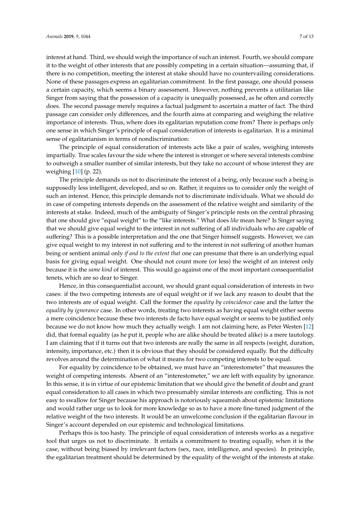interest at hand. Third, we should weigh the importance of such an interest. Fourth, we should compare it to the weight of other interests that are possibly competing in a certain situation—assuming that, if there is no competition, meeting the interest at stake should have no countervailing considerations. None of these passages express an egalitarian commitment. In the first passage, one should possess a certain capacity, which seems a binary assessment. However, nothing prevents a utilitarian like Singer from saying that the possession of a capacity is unequally possessed, as he often and correctly does. The second passage merely requires a factual judgment to ascertain a matter of fact. The third passage can consider only differences, and the fourth aims at comparing and weighing the relative importance of interests. Thus, where does its egalitarian reputation come from? There is perhaps only one sense in which Singer's principle of equal consideration of interests is egalitarian. It is a minimal sense of egalitarianism in terms of nondiscrimination:

The principle of equal consideration of interests acts like a pair of scales, weighing interests impartially. True scales favour the side where the interest is stronger or where several interests combine to outweigh a smaller number of similar interests, but they take no account of whose interest they are weighing [\[10\]](#page-11-9) (p. 22).

The principle demands us not to discriminate the interest of a being, only because such a being is supposedly less intelligent, developed, and so on. Rather, it requires us to consider only the weight of such an interest. Hence, this principle demands not to discriminate individuals. What we should do in case of competing interests depends on the assessment of the relative weight and similarity of the interests at stake. Indeed, much of the ambiguity of Singer's principle rests on the central phrasing that one should give "equal weight" to the "like interests." What does *like* mean here? Is Singer saying that we should give equal weight to the interest in not suffering of all individuals who are capable of suffering? This is a possible interpretation and the one that Singer himself suggests. However, we can give equal weight to my interest in not suffering and to the interest in not suffering of another human being or sentient animal only *if and to the extent that* one can presume that there is an underlying equal basis for giving equal weight. One should not count more (or less) the weight of an interest only because it is the *same kind* of interest. This would go against one of the most important consequentialist tenets, which are so dear to Singer.

Hence, in this consequentialist account, we should grant equal consideration of interests in two cases: if the two competing interests are of equal weight or if we lack any reason to doubt that the two interests are of equal weight. Call the former the *equality by coincidence* case and the latter the *equality by ignorance* case. In other words, treating two interests as having equal weight either seems a mere coincidence because these two interests de facto have equal weight or seems to be justified only because we do not know how much they actually weigh. I am not claiming here, as Peter Westen [\[12\]](#page-11-11) did, that formal equality (as he put it, people who are alike should be treated alike) is a mere tautology. I am claiming that if it turns out that two interests are really the same in all respects (weight, duration, intensity, importance, etc.) then it is obvious that they should be considered equally. But the difficulty revolves around the determination of what it means for two competing interests to be equal.

For equality by coincidence to be obtained, we must have an "interestometer" that measures the weight of competing interests. Absent of an "interestometer," we are left with equality by ignorance. In this sense, it is in virtue of our epistemic limitation that we should give the benefit of doubt and grant equal consideration to all cases in which two presumably similar interests are conflicting. This is not easy to swallow for Singer because his approach is notoriously squeamish about epistemic limitations and would rather urge us to look for more knowledge so as to have a more fine-tuned judgment of the relative weight of the two interests. It would be an unwelcome conclusion if the egalitarian flavour in Singer's account depended on our epistemic and technological limitations.

Perhaps this is too hasty. The principle of equal consideration of interests works as a negative tool that urges us not to discriminate. It entails a commitment to treating equally, when it is the case, without being biased by irrelevant factors (sex, race, intelligence, and species). In principle, the egalitarian treatment should be determined by the equality of the weight of the interests at stake.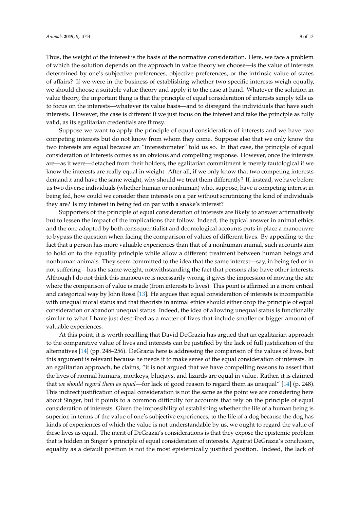Thus, the weight of the interest is the basis of the normative consideration. Here, we face a problem of which the solution depends on the approach in value theory we choose—is the value of interests determined by one's subjective preferences, objective preferences, or the intrinsic value of states of affairs? If we were in the business of establishing whether two specific interests weigh equally, we should choose a suitable value theory and apply it to the case at hand. Whatever the solution in value theory, the important thing is that the principle of equal consideration of interests simply tells us to focus on the interests—whatever its value basis—and to disregard the individuals that have such interests. However, the case is different if we just focus on the interest and take the principle as fully valid, as its egalitarian credentials are flimsy.

Suppose we want to apply the principle of equal consideration of interests and we have two competing interests but do not know from whom they come. Suppose also that we only know the two interests are equal because an "interestometer" told us so. In that case, the principle of equal consideration of interests comes as an obvious and compelling response. However, once the interests are—as it were—detached from their holders, the egalitarian commitment is merely tautological if we know the interests are really equal in weight. After all, if we only know that two competing interests demand *x* and have the same weight, why should we treat them differently? If, instead, we have before us two diverse individuals (whether human or nonhuman) who, suppose, have a competing interest in being fed, how could we consider their interests on a par without scrutinizing the kind of individuals they are? Is my interest in being fed on par with a snake's interest?

Supporters of the principle of equal consideration of interests are likely to answer affirmatively but to lessen the impact of the implications that follow. Indeed, the typical answer in animal ethics and the one adopted by both consequentialist and deontological accounts puts in place a manoeuvre to bypass the question when facing the comparison of values of different lives. By appealing to the fact that a person has more valuable experiences than that of a nonhuman animal, such accounts aim to hold on to the equality principle while allow a different treatment between human beings and nonhuman animals. They seem committed to the idea that the same interest—say, in being fed or in not suffering—has the same weight, notwithstanding the fact that persons also have other interests. Although I do not think this manoeuvre is necessarily wrong, it gives the impression of moving the site where the comparison of value is made (from interests to lives). This point is affirmed in a more critical and categorical way by John Rossi [\[13\]](#page-11-12). He argues that equal consideration of interests is incompatible with unequal moral status and that theorists in animal ethics should either drop the principle of equal consideration or abandon unequal status. Indeed, the idea of allowing unequal status is functionally similar to what I have just described as a matter of lives that include smaller or bigger amount of valuable experiences.

At this point, it is worth recalling that David DeGrazia has argued that an egalitarian approach to the comparative value of lives and interests can be justified by the lack of full justification of the alternatives [\[14\]](#page-11-13) (pp. 248–256). DeGrazia here is addressing the comparison of the values of lives, but this argument is relevant because he needs it to make sense of the equal consideration of interests. In an egalitarian approach, he claims, "it is not argued that we have compelling reasons to assert that the lives of normal humans, monkeys, bluejays, and lizards are equal in value. Rather, it is claimed that *we should regard them as equal*—for lack of good reason to regard them as unequal" [\[14\]](#page-11-13) (p. 248). This indirect justification of equal consideration is not the same as the point we are considering here about Singer, but it points to a common difficulty for accounts that rely on the principle of equal consideration of interests. Given the impossibility of establishing whether the life of a human being is superior, in terms of the value of one's subjective experiences, to the life of a dog because the dog has kinds of experiences of which the value is not understandable by us, we ought to regard the value of these lives as equal. The merit of DeGrazia's considerations is that they expose the epistemic problem that is hidden in Singer's principle of equal consideration of interests. Against DeGrazia's conclusion, equality as a default position is not the most epistemically justified position. Indeed, the lack of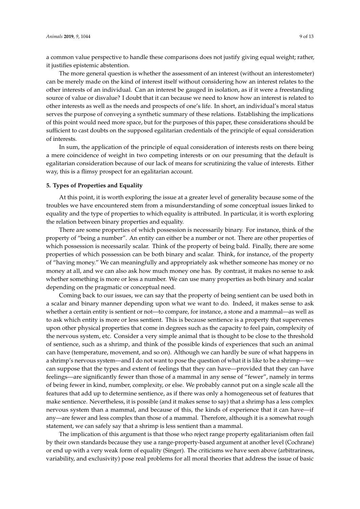a common value perspective to handle these comparisons does not justify giving equal weight; rather, it justifies epistemic abstention.

The more general question is whether the assessment of an interest (without an interestometer) can be merely made on the kind of interest itself without considering how an interest relates to the other interests of an individual. Can an interest be gauged in isolation, as if it were a freestanding source of value or disvalue? I doubt that it can because we need to know how an interest is related to other interests as well as the needs and prospects of one's life. In short, an individual's moral status serves the purpose of conveying a synthetic summary of these relations. Establishing the implications of this point would need more space, but for the purposes of this paper, these considerations should be sufficient to cast doubts on the supposed egalitarian credentials of the principle of equal consideration of interests.

In sum, the application of the principle of equal consideration of interests rests on there being a mere coincidence of weight in two competing interests or on our presuming that the default is egalitarian consideration because of our lack of means for scrutinizing the value of interests. Either way, this is a flimsy prospect for an egalitarian account.

#### **5. Types of Properties and Equality**

At this point, it is worth exploring the issue at a greater level of generality because some of the troubles we have encountered stem from a misunderstanding of some conceptual issues linked to equality and the type of properties to which equality is attributed. In particular, it is worth exploring the relation between binary properties and equality.

There are some properties of which possession is necessarily binary. For instance, think of the property of "being a number". An entity can either be a number or not. There are other properties of which possession is necessarily scalar. Think of the property of being bald. Finally, there are some properties of which possession can be both binary and scalar. Think, for instance, of the property of "having money." We can meaningfully and appropriately ask whether someone has money or no money at all, and we can also ask how much money one has. By contrast, it makes no sense to ask whether something is more or less a number. We can use many properties as both binary and scalar depending on the pragmatic or conceptual need.

Coming back to our issues, we can say that the property of being sentient can be used both in a scalar and binary manner depending upon what we want to do. Indeed, it makes sense to ask whether a certain entity is sentient or not—to compare, for instance, a stone and a mammal—as well as to ask which entity is more or less sentient. This is because sentience is a property that supervenes upon other physical properties that come in degrees such as the capacity to feel pain, complexity of the nervous system, etc. Consider a very simple animal that is thought to be close to the threshold of sentience, such as a shrimp, and think of the possible kinds of experiences that such an animal can have (temperature, movement, and so on). Although we can hardly be sure of what happens in a shrimp's nervous system—and I do not want to pose the question of what it is like to be a shrimp—we can suppose that the types and extent of feelings that they can have—provided that they can have feelings—are significantly fewer than those of a mammal in any sense of "fewer", namely in terms of being fewer in kind, number, complexity, or else. We probably cannot put on a single scale all the features that add up to determine sentience, as if there was only a homogeneous set of features that make sentience. Nevertheless, it is possible (and it makes sense to say) that a shrimp has a less complex nervous system than a mammal, and because of this, the kinds of experience that it can have—if any—are fewer and less complex than those of a mammal. Therefore, although it is a somewhat rough statement, we can safely say that a shrimp is less sentient than a mammal.

The implication of this argument is that those who reject range property egalitarianism often fail by their own standards because they use a range-property-based argument at another level (Cochrane) or end up with a very weak form of equality (Singer). The criticisms we have seen above (arbitrariness, variability, and exclusivity) pose real problems for all moral theories that address the issue of basic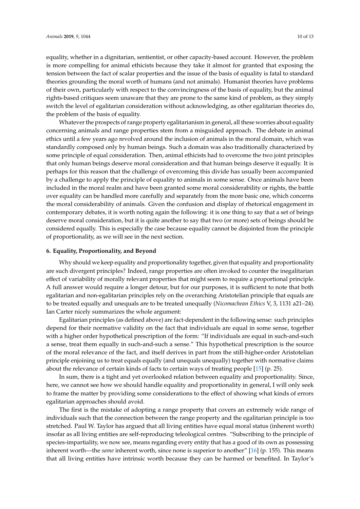equality, whether in a dignitarian, sentientist, or other capacity-based account. However, the problem is more compelling for animal ethicists because they take it almost for granted that exposing the tension between the fact of scalar properties and the issue of the basis of equality is fatal to standard theories grounding the moral worth of humans (and not animals). Humanist theories have problems of their own, particularly with respect to the convincingness of the basis of equality, but the animal rights-based critiques seem unaware that they are prone to the same kind of problem, as they simply switch the level of egalitarian consideration without acknowledging, as other egalitarian theories do, the problem of the basis of equality.

Whatever the prospects of range property egalitarianism in general, all these worries about equality concerning animals and range properties stem from a misguided approach. The debate in animal ethics until a few years ago revolved around the inclusion of animals in the moral domain, which was standardly composed only by human beings. Such a domain was also traditionally characterized by some principle of equal consideration. Then, animal ethicists had to overcome the two joint principles that only human beings deserve moral consideration and that human beings deserve it equally. It is perhaps for this reason that the challenge of overcoming this divide has usually been accompanied by a challenge to apply the principle of equality to animals in some sense. Once animals have been included in the moral realm and have been granted some moral considerability or rights, the battle over equality can be handled more carefully and separately from the more basic one, which concerns the moral considerability of animals. Given the confusion and display of rhetorical engagement in contemporary debates, it is worth noting again the following: it is one thing to say that a set of beings deserve moral consideration, but it is quite another to say that two (or more) sets of beings should be considered equally. This is especially the case because equality cannot be disjointed from the principle of proportionality, as we will see in the next section.

#### **6. Equality, Proportionality, and Beyond**

Why should we keep equality and proportionality together, given that equality and proportionality are such divergent principles? Indeed, range properties are often invoked to counter the inegalitarian effect of variability of morally relevant properties that might seem to require a proportional principle. A full answer would require a longer detour, but for our purposes, it is sufficient to note that both egalitarian and non-egalitarian principles rely on the overarching Aristotelian principle that equals are to be treated equally and unequals are to be treated unequally (*Nicomachean Ethics* V, 3, 1131 a21–24). Ian Carter nicely summarizes the whole argument:

Egalitarian principles (as defined above) are fact-dependent in the following sense: such principles depend for their normative validity on the fact that individuals are equal in some sense, together with a higher order hypothetical prescription of the form: "If individuals are equal in such-and-such a sense, treat them equally in such-and-such a sense." This hypothetical prescription is the source of the moral relevance of the fact, and itself derives in part from the still-higher-order Aristotelian principle enjoining us to treat equals equally (and unequals unequally) together with normative claims about the relevance of certain kinds of facts to certain ways of treating people [\[15\]](#page-11-14) (p. 25).

In sum, there is a tight and yet overlooked relation between equality and proportionality. Since, here, we cannot see how we should handle equality and proportionality in general, I will only seek to frame the matter by providing some considerations to the effect of showing what kinds of errors egalitarian approaches should avoid.

The first is the mistake of adopting a range property that covers an extremely wide range of individuals such that the connection between the range property and the egalitarian principle is too stretched. Paul W. Taylor has argued that all living entities have equal moral status (inherent worth) insofar as all living entities are self-reproducing teleological centres. "Subscribing to the principle of species-impartiality, we now see, means regarding every entity that has a good of its own as possessing inherent worth—the *same* inherent worth, since none is superior to another" [\[16\]](#page-11-15) (p. 155). This means that all living entities have intrinsic worth because they can be harmed or benefited. In Taylor's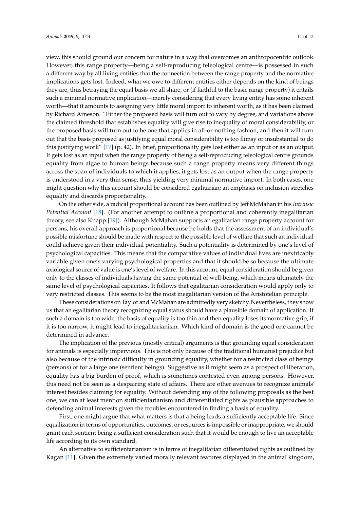view, this should ground our concern for nature in a way that overcomes an anthropocentric outlook. However, this range property—being a self-reproducing teleological centre—is possessed in such a different way by all living entities that the connection between the range property and the normative implications gets lost. Indeed, what we owe to different entities either depends on the kind of beings they are, thus betraying the equal basis we all share, or (if faithful to the basic range property) it entails such a minimal normative implication—merely considering that every living entity has some inherent worth—that it amounts to assigning very little moral import to inherent worth, as it has been claimed by Richard Arneson. "Either the proposed basis will turn out to vary by degree, and variations above the claimed threshold that establishes equality will give rise to inequality of moral considerability, or the proposed basis will turn out to be one that applies in all-or-nothing fashion, and then it will turn out that the basis proposed as justifying equal moral considerability is too flimsy or insubstantial to do this justifying work" [\[17\]](#page-12-0) (p. 42). In brief, proportionality gets lost either as an input or as an output. It gets lost as an input when the range property of being a self-reproducing teleological centre grounds equality from algae to human beings because such a range property means very different things across the span of individuals to which it applies; it gets lost as an output when the range property is understood in a very thin sense, thus yielding very minimal normative import. In both cases, one might question why this account should be considered egalitarian; an emphasis on inclusion stretches equality and discards proportionality.

On the other side, a radical proportional account has been outlined by Jeff McMahan in his *Intrinsic Potential Account* [\[18\]](#page-12-1). (For another attempt to outline a proportional and coherently inegalitarian theory, see also Knapp [\[19\]](#page-12-2)). Although McMahan supports an egalitarian range property account for persons, his overall approach is proportional because he holds that the assessment of an individual's possible misfortune should be made with respect to the possible level of welfare that such an individual could achieve given their individual potentiality. Such a potentiality is determined by one's level of psychological capacities. This means that the comparative values of individual lives are inextricably variable given one's varying psychological properties and that it should be so because the ultimate axiological source of value is one's level of welfare. In this account, equal consideration should be given only to the classes of individuals having the same potential of well-being, which means ultimately the same level of psychological capacities. It follows that egalitarian consideration would apply only to very restricted classes. This seems to be the most inegalitarian version of the Aristotelian principle.

These considerations on Taylor and McMahan are admittedly very sketchy. Nevertheless, they show us that an egalitarian theory recognizing equal status should have a plausible domain of application. If such a domain is too wide, the basis of equality is too thin and then equality loses its normative grip; if it is too narrow, it might lead to inegalitarianism. Which kind of domain is the good one cannot be determined in advance.

The implication of the previous (mostly critical) arguments is that grounding equal consideration for animals is especially impervious. This is not only because of the traditional humanist prejudice but also because of the intrinsic difficulty in grounding equality, whether for a restricted class of beings (persons) or for a large one (sentient beings). Suggestive as it might seem as a prospect of liberation, equality has a big burden of proof, which is sometimes contested even among persons. However, this need not be seen as a despairing state of affairs. There are other avenues to recognize animals' interest besides claiming for equality. Without defending any of the following proposals as the best one, we can at least mention sufficientarianism and differentiated rights as plausible approaches to defending animal interests given the troubles encountered in finding a basis of equality.

First, one might argue that what matters is that a being leads a sufficiently acceptable life. Since equalization in terms of opportunities, outcomes, or resources is impossible or inappropriate, we should grant each sentient being a sufficient consideration such that it would be enough to live an acceptable life according to its own standard.

An alternative to sufficientarianism is in terms of inegalitarian differentiated rights as outlined by Kagan [\[11\]](#page-11-10). Given the extremely varied morally relevant features displayed in the animal kingdom,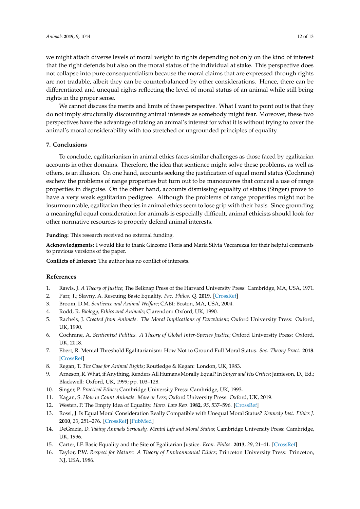we might attach diverse levels of moral weight to rights depending not only on the kind of interest that the right defends but also on the moral status of the individual at stake. This perspective does not collapse into pure consequentialism because the moral claims that are expressed through rights are not tradable, albeit they can be counterbalanced by other considerations. Hence, there can be differentiated and unequal rights reflecting the level of moral status of an animal while still being rights in the proper sense.

We cannot discuss the merits and limits of these perspective. What I want to point out is that they do not imply structurally discounting animal interests as somebody might fear. Moreover, these two perspectives have the advantage of taking an animal's interest for what it is without trying to cover the animal's moral considerability with too stretched or ungrounded principles of equality.

## **7. Conclusions**

To conclude, egalitarianism in animal ethics faces similar challenges as those faced by egalitarian accounts in other domains. Therefore, the idea that sentience might solve these problems, as well as others, is an illusion. On one hand, accounts seeking the justification of equal moral status (Cochrane) eschew the problems of range properties but turn out to be manoeuvres that conceal a use of range properties in disguise. On the other hand, accounts dismissing equality of status (Singer) prove to have a very weak egalitarian pedigree. Although the problems of range properties might not be insurmountable, egalitarian theories in animal ethics seem to lose grip with their basis. Since grounding a meaningful equal consideration for animals is especially difficult, animal ethicists should look for other normative resources to properly defend animal interests.

**Funding:** This research received no external funding.

**Acknowledgments:** I would like to thank Giacomo Floris and Maria Silvia Vaccarezza for their helpful comments to previous versions of the paper.

**Conflicts of Interest:** The author has no conflict of interests.

### **References**

- <span id="page-11-0"></span>1. Rawls, J. *A Theory of Justice*; The Belknap Press of the Harvard University Press: Cambridge, MA, USA, 1971.
- <span id="page-11-1"></span>2. Parr, T.; Slavny, A. Rescuing Basic Equality. *Pac. Philos. Q.* **2019**. [\[CrossRef\]](http://dx.doi.org/10.1111/papq.12285)
- <span id="page-11-2"></span>3. Broom, D.M. *Sentience and Animal Welfare*; CABI: Boston, MA, USA, 2004.
- <span id="page-11-3"></span>4. Rodd, R. *Biology, Ethics and Animals*; Clarendon: Oxford, UK, 1990.
- <span id="page-11-4"></span>5. Rachels, J. *Created from Animals. The Moral Implications of Darwinism*; Oxford University Press: Oxford, UK, 1990.
- <span id="page-11-5"></span>6. Cochrane, A. *Sentientist Politics. A Theory of Global Inter-Species Justice*; Oxford University Press: Oxford, UK, 2018.
- <span id="page-11-6"></span>7. Ebert, R. Mental Threshold Egalitarianism: How Not to Ground Full Moral Status. *Soc. Theory Pract.* **2018**. [\[CrossRef\]](http://dx.doi.org/10.5840/soctheorpract201812330)
- <span id="page-11-7"></span>8. Regan, T. *The Case for Animal Rights*; Routledge & Kegan: London, UK, 1983.
- <span id="page-11-8"></span>9. Arneson, R.What, if Anything, Renders All Humans Morally Equal? In *Singer and His Critics*; Jamieson, D., Ed.; Blackwell: Oxford, UK, 1999; pp. 103–128.
- <span id="page-11-9"></span>10. Singer, P. *Practical Ethics*; Cambridge University Press: Cambridge, UK, 1993.
- <span id="page-11-10"></span>11. Kagan, S. *How to Count Animals. More or Less*; Oxford University Press: Oxford, UK, 2019.
- <span id="page-11-11"></span>12. Westen, P. The Empty Idea of Equality. *Harv. Law Rev.* **1982**, *95*, 537–596. [\[CrossRef\]](http://dx.doi.org/10.2307/1340593)
- <span id="page-11-12"></span>13. Rossi, J. Is Equal Moral Consideration Really Compatible with Unequal Moral Status? *Kennedy Inst. Ethics J.* **2010**, *20*, 251–276. [\[CrossRef\]](http://dx.doi.org/10.1353/ken.2010.0004) [\[PubMed\]](http://www.ncbi.nlm.nih.gov/pubmed/21133335)
- <span id="page-11-13"></span>14. DeGrazia, D. *Taking Animals Seriously. Mental Life and Moral Status*; Cambridge University Press: Cambridge, UK, 1996.
- <span id="page-11-14"></span>15. Carter, I.F. Basic Equality and the Site of Egalitarian Justice. *Econ. Philos.* **2013**, *29*, 21–41. [\[CrossRef\]](http://dx.doi.org/10.1017/S0266267113000060)
- <span id="page-11-15"></span>16. Taylor, P.W. *Respect for Nature: A Theory of Environmental Ethics*; Princeton University Press: Princeton, NJ, USA, 1986.